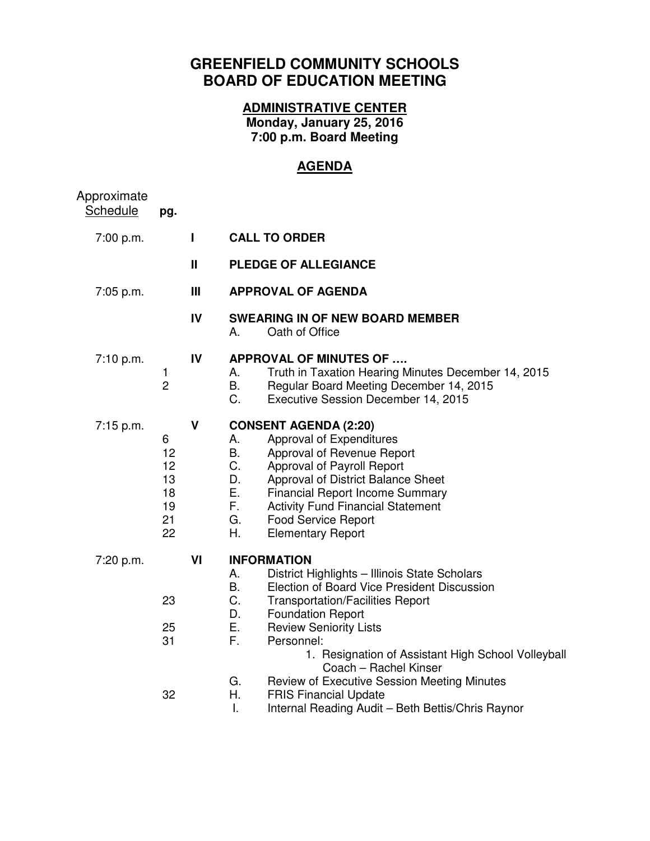## **GREENFIELD COMMUNITY SCHOOLS BOARD OF EDUCATION MEETING**

## **ADMINISTRATIVE CENTER Monday, January 25, 2016 7:00 p.m. Board Meeting**

## **AGENDA**

| Approximate<br>Schedule | pg.                                         |              |                                                                                                                                                                                                                                                                                                                                                                                                                                                                      |
|-------------------------|---------------------------------------------|--------------|----------------------------------------------------------------------------------------------------------------------------------------------------------------------------------------------------------------------------------------------------------------------------------------------------------------------------------------------------------------------------------------------------------------------------------------------------------------------|
| 7:00 p.m.               |                                             | П            | <b>CALL TO ORDER</b>                                                                                                                                                                                                                                                                                                                                                                                                                                                 |
|                         |                                             | $\mathbf{H}$ | PLEDGE OF ALLEGIANCE                                                                                                                                                                                                                                                                                                                                                                                                                                                 |
| $7:05$ p.m.             |                                             | Ш            | <b>APPROVAL OF AGENDA</b>                                                                                                                                                                                                                                                                                                                                                                                                                                            |
|                         |                                             | IV           | <b>SWEARING IN OF NEW BOARD MEMBER</b><br>Oath of Office<br>А.                                                                                                                                                                                                                                                                                                                                                                                                       |
| 7:10 p.m.               | 1<br>$\overline{2}$                         | IV           | <b>APPROVAL OF MINUTES OF </b><br>Α.<br>Truth in Taxation Hearing Minutes December 14, 2015<br>B.<br>Regular Board Meeting December 14, 2015<br>C.<br>Executive Session December 14, 2015                                                                                                                                                                                                                                                                            |
| 7:15 p.m.               | 6<br>12<br>12<br>13<br>18<br>19<br>21<br>22 | V            | <b>CONSENT AGENDA (2:20)</b><br>Approval of Expenditures<br>Α.<br><b>B.</b><br>Approval of Revenue Report<br>C.<br>Approval of Payroll Report<br>D.<br>Approval of District Balance Sheet<br>Ε.<br><b>Financial Report Income Summary</b><br>F.<br><b>Activity Fund Financial Statement</b><br>G.<br><b>Food Service Report</b><br>Η.<br><b>Elementary Report</b>                                                                                                    |
| 7:20 p.m.               | 23<br>25<br>31<br>32                        | VI           | <b>INFORMATION</b><br>District Highlights - Illinois State Scholars<br>Α.<br><b>Election of Board Vice President Discussion</b><br>В.<br>C.<br><b>Transportation/Facilities Report</b><br>D.<br><b>Foundation Report</b><br>Ε.<br><b>Review Seniority Lists</b><br>F.<br>Personnel:<br>1. Resignation of Assistant High School Volleyball<br>Coach - Rachel Kinser<br>G.<br><b>Review of Executive Session Meeting Minutes</b><br>Η.<br><b>FRIS Financial Update</b> |

I. Internal Reading Audit – Beth Bettis/Chris Raynor